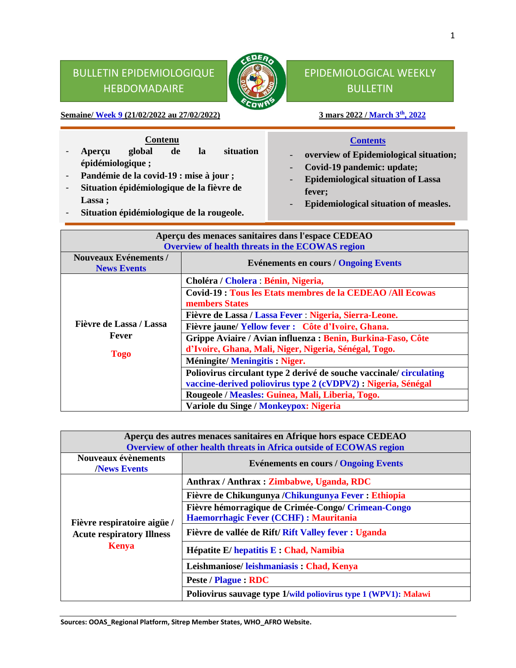## BULLETIN EPIDEMIOLOGIQUE HEBDOMADAIRE



## EPIDEMIOLOGICAL WEEKLY **BULLETIN**

**Semaine/ Week 9** (21/02/2022 au 27/02/2022)

# 3 mars 2022 / March 3<sup>th</sup>, 2022

### **Contenu**

- **Aperçu global de la situation épidémiologique ;**
- **Pandémie de la covid-19 : mise à jour ;**
- **Situation épidémiologique de la fièvre de Lassa ;**
- **Situation épidémiologique de la rougeole.**

#### **Contents**

- **overview of Epidemiological situation;**
- **Covid-19 pandemic: update;**
- **Epidemiological situation of Lassa fever;**
- **Epidemiological situation of measles.**

| Aperçu des menaces sanitaires dans l'espace CEDEAO |                                                                                                                                     |  |  |  |  |
|----------------------------------------------------|-------------------------------------------------------------------------------------------------------------------------------------|--|--|--|--|
| Overview of health threats in the ECOWAS region    |                                                                                                                                     |  |  |  |  |
| <b>Nouveaux Evénements /</b><br><b>News Events</b> | <b>Evénements en cours / Ongoing Events</b>                                                                                         |  |  |  |  |
|                                                    | Choléra / Cholera : Bénin, Nigeria,                                                                                                 |  |  |  |  |
|                                                    | <b>Covid-19: Tous les Etats membres de la CEDEAO /All Ecowas</b><br>members States                                                  |  |  |  |  |
|                                                    | Fièvre de Lassa / Lassa Fever : Nigeria, Sierra-Leone.                                                                              |  |  |  |  |
| Fièvre de Lassa / Lassa                            | Fièvre jaune/Yellow fever : Côte d'Ivoire, Ghana.                                                                                   |  |  |  |  |
| Fever<br><b>Togo</b>                               | Grippe Aviaire / Avian influenza : Benin, Burkina-Faso, Côte<br>d'Ivoire, Ghana, Mali, Niger, Nigeria, Sénégal, Togo.               |  |  |  |  |
|                                                    | <b>Méningite/Meningitis: Niger.</b>                                                                                                 |  |  |  |  |
|                                                    | Poliovirus circulant type 2 derivé de souche vaccinale/circulating<br>vaccine-derived poliovirus type 2 (cVDPV2) : Nigeria, Sénégal |  |  |  |  |
|                                                    | Rougeole / Measles: Guinea, Mali, Liberia, Togo.                                                                                    |  |  |  |  |
|                                                    | Variole du Singe / Monkeypox: Nigeria                                                                                               |  |  |  |  |

| Aperçu des autres menaces sanitaires en Afrique hors espace CEDEAO<br>Overview of other health threats in Africa outside of ECOWAS region |                                                                                              |  |  |  |  |  |
|-------------------------------------------------------------------------------------------------------------------------------------------|----------------------------------------------------------------------------------------------|--|--|--|--|--|
| Nouveaux évènements<br><b>News Events</b>                                                                                                 | <b>Evénements en cours / Ongoing Events</b>                                                  |  |  |  |  |  |
|                                                                                                                                           | Anthrax / Anthrax : Zimbabwe, Uganda, RDC                                                    |  |  |  |  |  |
|                                                                                                                                           | Fièvre de Chikungunya / Chikungunya Fever : Ethiopia                                         |  |  |  |  |  |
| Fièvre respiratoire aigüe /                                                                                                               | Fièvre hémorragique de Crimée-Congo/ Crimean-Congo<br>Haemorrhagic Fever (CCHF) : Mauritania |  |  |  |  |  |
| <b>Acute respiratory Illness</b>                                                                                                          | Fièvre de vallée de Rift/Rift Valley fever : Uganda                                          |  |  |  |  |  |
| <b>Kenya</b>                                                                                                                              | Hépatite E/hepatitis E : Chad, Namibia                                                       |  |  |  |  |  |
|                                                                                                                                           | Leishmaniose/leishmaniasis: Chad, Kenya                                                      |  |  |  |  |  |
|                                                                                                                                           | Peste / Plague : RDC                                                                         |  |  |  |  |  |
|                                                                                                                                           | Poliovirus sauvage type 1/wild poliovirus type 1 (WPV1): Malawi                              |  |  |  |  |  |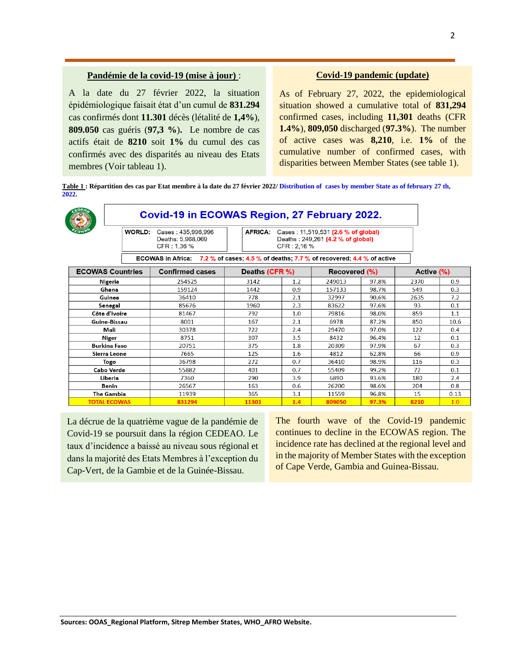#### **Pandémie de la covid-19 (mise à jour)** :

A la date du 27 février 2022, la situation épidémiologique faisait état d'un cumul de **831.294** cas confirmés dont **11.301** décès (létalité de **1,4%**), **809.050** cas guéris (**97,3 %**)**.** Le nombre de cas actifs était de **8210** soit **1%** du cumul des cas confirmés avec des disparités au niveau des Etats membres (Voir tableau 1).

#### **Covid-19 pandemic (update)**

As of February 27, 2022, the epidemiological situation showed a cumulative total of **831,294** confirmed cases, including **11,301** deaths (CFR **1.4%**), **809,050** discharged (**97.3%**). The number of active cases was **8,210**, i.e. **1%** of the cumulative number of confirmed cases, with disparities between Member States (see table 1).

**Table 1 : Répartition des cas par Etat membre à la date du 27 février 2022/ Distribution of cases by member State as of february 27 th, 2022.**

|                         | Covid-19 in ECOWAS Region, 27 February 2022.                                           |                        |                                                                                                            |     |                      |       |            |      |
|-------------------------|----------------------------------------------------------------------------------------|------------------------|------------------------------------------------------------------------------------------------------------|-----|----------------------|-------|------------|------|
|                         | WORLD:<br>Cases: 435,996,996<br>Deaths: 5,968,069<br>CFR: 1.36 %                       |                        | <b>AFRICA:</b><br>Cases: 11,519,531 (2.6 % of global)<br>Deaths: 249,261 (4.2 % of global)<br>CFR . 2,16 % |     |                      |       |            |      |
|                         | ECOWAS in Africa: 7.2 % of cases; 4.5 % of deaths; 7.7 % of recovered; 4.4 % of active |                        |                                                                                                            |     |                      |       |            |      |
| <b>ECOWAS Countries</b> |                                                                                        | <b>Confirmed cases</b> | Deaths (CFR %)                                                                                             |     | <b>Recovered (%)</b> |       | Active (%) |      |
|                         | Nigeria                                                                                | 254525                 | 3142                                                                                                       | 1.2 | 249013               | 97.8% | 2370       | 0.9  |
|                         | Ghana                                                                                  | 159124                 | 1442                                                                                                       | 0.9 | 157133               | 98.7% | 549        | 0.3  |
|                         | Guinea                                                                                 | 36410                  | 778                                                                                                        | 2.1 | 32997                | 90.6% | 2635       | 7.2  |
|                         | Senegal                                                                                | 85676                  | 1960                                                                                                       | 2.3 | 83622                | 97.6% | 93         | 0.1  |
|                         | Côte d'Ivoire                                                                          | 81467                  | 792                                                                                                        | 1.0 | 79816                | 98.0% | 859        | 1.1  |
|                         | Guine-Bissau                                                                           | 8001                   | 167                                                                                                        | 2.1 | 6978                 | 87.2% | 850        | 10.6 |
|                         | Mali                                                                                   | 30378                  | 722                                                                                                        | 2.4 | 29470                | 97.0% | 122        | 0.4  |
|                         | Niger                                                                                  | 8751                   | 307                                                                                                        | 3.5 | 8432                 | 96.4% | 12         | 0.1  |
|                         | <b>Burkina Faso</b>                                                                    | 20751                  | 375                                                                                                        | 1.8 | 20309                | 97.9% | 67         | 0.3  |
|                         | Sierra Leone                                                                           | 7665                   | 125                                                                                                        | 1.6 | 4812                 | 62.8% | 66         | 0.9  |
|                         | Togo                                                                                   | 36798                  | 272                                                                                                        | 0.7 | 36410                | 98.9% | 116        | 0.3  |
|                         | Cabo Verde                                                                             | 55882                  | 401                                                                                                        | 0.7 | 55409                | 99.2% | 72         | 0.1  |
|                         | Liberia                                                                                | 7360                   | 290                                                                                                        | 3.9 | 6890                 | 93.6% | 180        | 2.4  |
| Benin                   |                                                                                        | 26567                  | 163                                                                                                        | 0.6 | 26200                | 98.6% | 204        | 0.8  |
|                         | The Gambia<br>11939                                                                    |                        | 365                                                                                                        | 3.1 | 11559                | 96.8% | 15         | 0.13 |
|                         | <b>TOTAL ECOWAS</b>                                                                    | 831294                 | 11301                                                                                                      | 1.4 | 809050               | 97.3% | 8210       | 1.0  |

La décrue de la quatrième vague de la pandémie de Covid-19 se poursuit dans la région CEDEAO. Le taux d'incidence a baissé au niveau sous régional et dans la majorité des Etats Membres à l'exception du Cap-Vert, de la Gambie et de la Guinée-Bissau.

The fourth wave of the Covid-19 pandemic continues to decline in the ECOWAS region. The incidence rate has declined at the regional level and in the majority of Member States with the exception of Cape Verde, Gambia and Guinea-Bissau.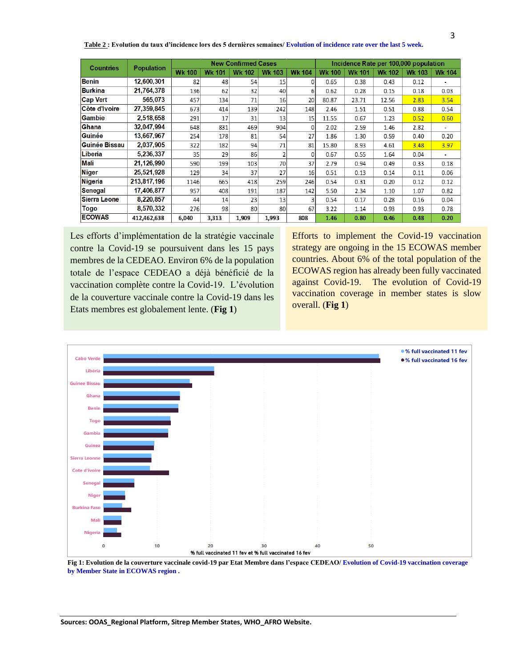| <b>Countries</b> | <b>Population</b> | <b>New Confirmed Cases</b> |               |               |               | Incidence Rate per 100,000 population |               |               |               |               |               |
|------------------|-------------------|----------------------------|---------------|---------------|---------------|---------------------------------------|---------------|---------------|---------------|---------------|---------------|
|                  |                   | <b>Wk 100</b>              | <b>Wk 101</b> | <b>Wk 102</b> | <b>Wk 103</b> | <b>Wk 104</b>                         | <b>Wk 100</b> | <b>Wk 101</b> | <b>Wk 102</b> | <b>Wk 103</b> | <b>Wk 104</b> |
| <b>Benin</b>     | 12,600,301        | 82                         | 48            | 54            | 15            | <sup>0</sup>                          | 0.65          | 0.38          | 0.43          | 0.12          |               |
| <b>Burkina</b>   | 21,764,378        | 136                        | 62            | 32            | 40            | 61                                    | 0.62          | 0.28          | 0.15          | 0.18          | 0.03          |
| <b>Cap Vert</b>  | 565.073           | 457                        | 134           | 71            | 16            | 20                                    | 80.87         | 23.71         | 12.56         | 2.83          | 3.54          |
| Côte d'Ivoire    | 27.359.845        | 673                        | 414           | 139           | 242           | 148                                   | 2.46          | 1.51          | 0.51          | 0.88          | 0.54          |
| <b>Gambie</b>    | 2,518,658         | 291                        | 17            | 31            | 13            | 15                                    | 11.55         | 0.67          | 1.23          | 0.52          | 0.60          |
| <b>Ghana</b>     | 32,047,994        | 648                        | 831           | 469           | 904           | $\Omega$                              | 2.02          | 2.59          | 1.46          | 2.82          |               |
| Guinée           | 13,667,967        | 254                        | 178           | 81            | 54            | 27                                    | 1.86          | 1.30          | 0.59          | 0.40          | 0.20          |
| Guinée Bissau    | 2,037,905         | 322                        | 182           | 94            | 71            | 81                                    | 15.80         | 8.93          | 4.61          | 3.48          | 3.97          |
| Liberia          | 5,236,337         | 35                         | 29            | 86            | 2             | $\Omega$                              | 0.67          | 0.55          | 1.64          | 0.04          |               |
| Mali             | 21.126.990        | 590                        | 199           | 103           | 70            | 37                                    | 2.79          | 0.94          | 0.49          | 0.33          | 0.18          |
| <b>Niger</b>     | 25,521,928        | 129                        | 34            | 37            | 27            | 16                                    | 0.51          | 0.13          | 0.14          | 0.11          | 0.06          |
| <b>Nigeria</b>   | 213,817,196       | 1146                       | 665           | 418           | 259           | 246                                   | 0.54          | 0.31          | 0.20          | 0.12          | 0.12          |
| <b>Senegal</b>   | 17,406,877        | 957                        | 408           | 191           | 187           | 142                                   | 5.50          | 2.34          | 1.10          | 1.07          | 0.82          |
| Sierra Leone     | 8,220,857         | 44                         | 14            | 23            | 13            |                                       | 0.54          | 0.17          | 0.28          | 0.16          | 0.04          |
| Togo             | 8,570,332         | 276                        | 98            | 80            | 80            | 67                                    | 3.22          | 1.14          | 0.93          | 0.93          | 0.78          |
| <b>ECOWAS</b>    | 412,462,638       | 6,040                      | 3,313         | 1,909         | 1,993         | 808                                   | 1.46          | 0.80          | 0.46          | 0.48          | 0.20          |

**Table 2 : Evolution du taux d'incidence lors des 5 dernières semaines/ Evolution of incidence rate over the last 5 week.**

Les efforts d'implémentation de la stratégie vaccinale contre la Covid-19 se poursuivent dans les 15 pays membres de la CEDEAO. Environ 6% de la population totale de l'espace CEDEAO a déjà bénéficié de la vaccination complète contre la Covid-19. L'évolution de la couverture vaccinale contre la Covid-19 dans les Etats membres est globalement lente. (**Fig 1**)

Efforts to implement the Covid-19 vaccination strategy are ongoing in the 15 ECOWAS member countries. About 6% of the total population of the ECOWAS region has already been fully vaccinated against Covid-19. The evolution of Covid-19 vaccination coverage in member states is slow overall. (**Fig 1**)



**Fig 1: Evolution de la couverture vaccinale covid-19 par Etat Membre dans l'espace CEDEAO/ Evolution of Covid-19 vaccination coverage by Member State in ECOWAS region .**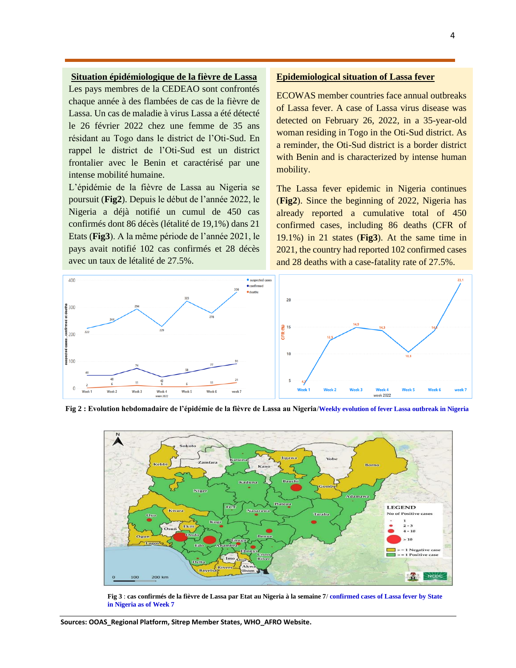#### **Situation épidémiologique de la fièvre de Lassa**

Les pays membres de la CEDEAO sont confrontés chaque année à des flambées de cas de la fièvre de Lassa. Un cas de maladie à virus Lassa a été détecté le 26 février 2022 chez une femme de 35 ans résidant au Togo dans le district de l'Oti-Sud. En rappel le district de l'Oti-Sud est un district frontalier avec le Benin et caractérisé par une intense mobilité humaine.

L'épidémie de la fièvre de Lassa au Nigeria se poursuit (**Fig2**). Depuis le début de l'année 2022, le Nigeria a déjà notifié un cumul de 450 cas confirmés dont 86 décès (létalité de 19,1%) dans 21 Etats (**Fig3**). A la même période de l'année 2021, le pays avait notifié 102 cas confirmés et 28 décès avec un taux de létalité de 27.5%.

#### **Epidemiological situation of Lassa fever**

ECOWAS member countries face annual outbreaks of Lassa fever. A case of Lassa virus disease was detected on February 26, 2022, in a 35-year-old woman residing in Togo in the Oti-Sud district. As a reminder, the Oti-Sud district is a border district with Benin and is characterized by intense human mobility.

The Lassa fever epidemic in Nigeria continues (**Fig2**). Since the beginning of 2022, Nigeria has already reported a cumulative total of 450 confirmed cases, including 86 deaths (CFR of 19.1%) in 21 states (**Fig3**). At the same time in 2021, the country had reported 102 confirmed cases and 28 deaths with a case-fatality rate of 27.5%.



**Fig 2 : Evolution hebdomadaire de l'épidémie de la fièvre de Lassa au Nigeria**/**Weekly evolution of fever Lassa outbreak in Nigeria**



**Fig 3** : **cas confirmés de la fièvre de Lassa par Etat au Nigeria à la semaine 7**/ **confirmed cases of Lassa fever by State in Nigeria as of Week 7**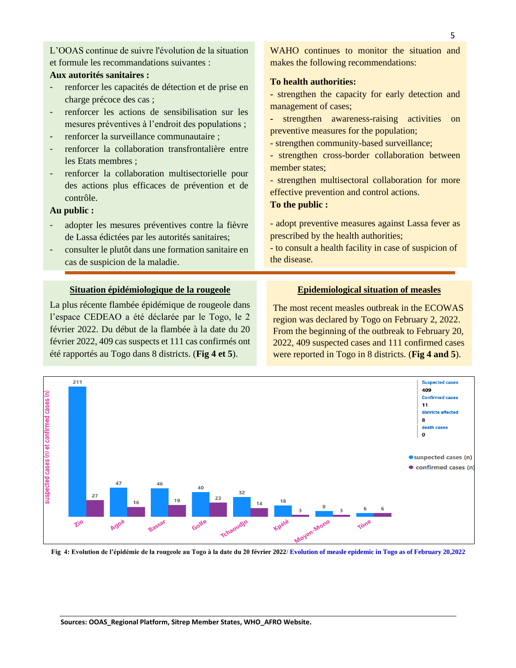L'OOAS continue de suivre l'évolution de la situation et formule les recommandations suivantes :

#### **Aux autorités sanitaires :**

- renforcer les capacités de détection et de prise en charge précoce des cas ;
- renforcer les actions de sensibilisation sur les mesures préventives à l'endroit des populations ;
- renforcer la surveillance communautaire ;
- renforcer la collaboration transfrontalière entre les Etats membres ;
- renforcer la collaboration multisectorielle pour des actions plus efficaces de prévention et de contrôle.

#### **Au public :**

- adopter les mesures préventives contre la fièvre de Lassa édictées par les autorités sanitaires;
- consulter le plutôt dans une formation sanitaire en cas de suspicion de la maladie.

#### **Situation épidémiologique de la rougeole**

La plus récente flambée épidémique de rougeole dans l'espace CEDEAO a été déclarée par le Togo, le 2 février 2022. Du début de la flambée à la date du 20 février 2022, 409 cas suspects et 111 cas confirmés ont été rapportés au Togo dans 8 districts. (**Fig 4 et 5**).

WAHO continues to monitor the situation and makes the following recommendations:

#### **To health authorities:**

**-** strengthen the capacity for early detection and management of cases;

**-** strengthen awareness-raising activities on preventive measures for the population;

- strengthen community-based surveillance;

- strengthen cross-border collaboration between member states;

- strengthen multisectoral collaboration for more effective prevention and control actions. **To the public :**

- adopt preventive measures against Lassa fever as prescribed by the health authorities;

- to consult a health facility in case of suspicion of the disease.

#### **Epidemiological situation of measles**

The most recent measles outbreak in the ECOWAS region was declared by Togo on February 2, 2022. From the beginning of the outbreak to February 20, 2022, 409 suspected cases and 111 confirmed cases were reported in Togo in 8 districts. (**Fig 4 and 5**).



**Fig 4: Evolution de l'épidémie de la rougeole au Togo à la date du 20 février 2022**/ **Evolution of measle epidemic in Togo as of February 20,2022**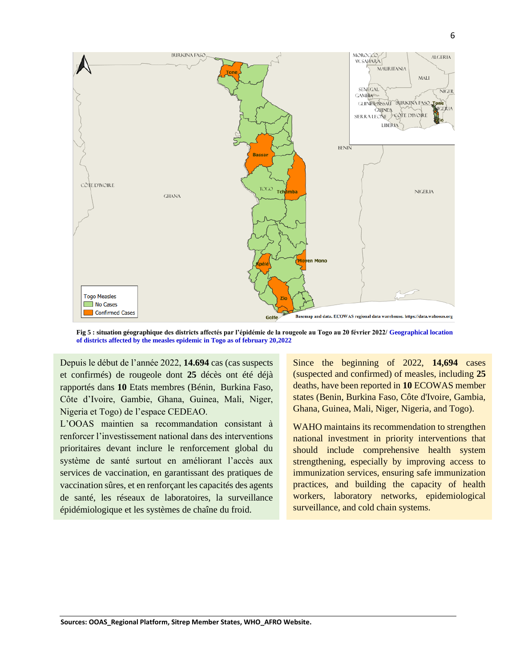

**Fig 5 : situation géographique des districts affectés par l'épidémie de la rougeole au Togo au 20 février 2022/ Geographical location of districts affected by the measles epidemic in Togo as of february 20,2022**

 Côte d'Ivoire, Gambie, Ghana, Guinea, Mali, Niger, Depuis le début de l'année 2022, **14.694** cas (cas suspects et confirmés) de rougeole dont **25** décès ont été déjà rapportés dans **10** Etats membres (Bénin, Burkina Faso, Nigeria et Togo) de l'espace CEDEAO.

 L'OOAS maintien sa recommandation consistant à renforcer l'investissement national dans des interventions prioritaires devant inclure le renforcement global du système de santé surtout en améliorant l'accès aux services de vaccination, en garantissant des pratiques de vaccination sûres, et en renforçant les capacités des agents de santé, les réseaux de laboratoires, la surveillance épidémiologique et les systèmes de chaîne du froid.

Since the beginning of 2022, **14,694** cases (suspected and confirmed) of measles, including **25** deaths, have been reported in **10** ECOWAS member states (Benin, Burkina Faso, Côte d'Ivoire, Gambia, Ghana, Guinea, Mali, Niger, Nigeria, and Togo).

WAHO maintains its recommendation to strengthen national investment in priority interventions that should include comprehensive health system strengthening, especially by improving access to immunization services, ensuring safe immunization practices, and building the capacity of health workers, laboratory networks, epidemiological surveillance, and cold chain systems.